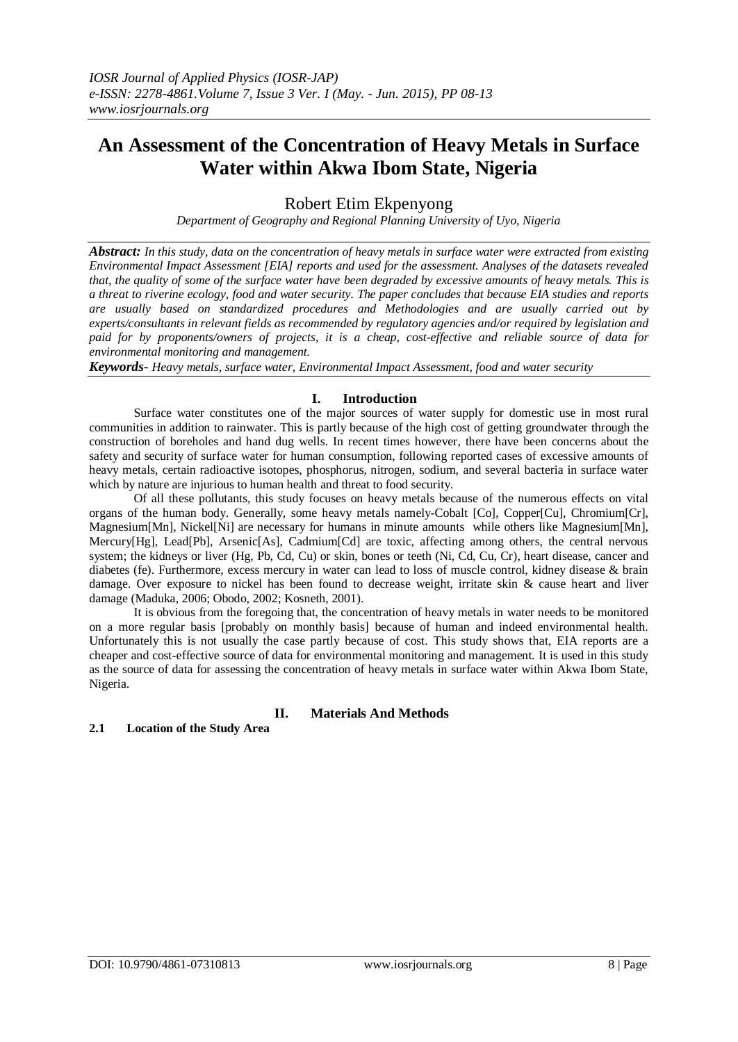# **An Assessment of the Concentration of Heavy Metals in Surface Water within Akwa Ibom State, Nigeria**

Robert Etim Ekpenyong

*Department of Geography and Regional Planning University of Uyo, Nigeria*

*Abstract: In this study, data on the concentration of heavy metals in surface water were extracted from existing Environmental Impact Assessment [EIA] reports and used for the assessment. Analyses of the datasets revealed that, the quality of some of the surface water have been degraded by excessive amounts of heavy metals. This is a threat to riverine ecology, food and water security. The paper concludes that because EIA studies and reports are usually based on standardized procedures and Methodologies and are usually carried out by experts/consultants in relevant fields as recommended by regulatory agencies and/or required by legislation and paid for by proponents/owners of projects, it is a cheap, cost-effective and reliable source of data for environmental monitoring and management.* 

*Keywords- Heavy metals, surface water, Environmental Impact Assessment, food and water security*

## **I. Introduction**

Surface water constitutes one of the major sources of water supply for domestic use in most rural communities in addition to rainwater. This is partly because of the high cost of getting groundwater through the construction of boreholes and hand dug wells. In recent times however, there have been concerns about the safety and security of surface water for human consumption, following reported cases of excessive amounts of heavy metals, certain radioactive isotopes, phosphorus, nitrogen, sodium, and several bacteria in surface water which by nature are injurious to human health and threat to food security.

Of all these pollutants, this study focuses on heavy metals because of the numerous effects on vital organs of the human body. Generally, some heavy metals namely-Cobalt [Co], Copper[Cu], Chromium[Cr], Magnesium[Mn], Nickel[Ni] are necessary for humans in minute amounts while others like Magnesium[Mn], Mercury[Hg], Lead[Pb], Arsenic[As], Cadmium[Cd] are toxic, affecting among others, the central nervous system; the kidneys or liver (Hg, Pb, Cd, Cu) or skin, bones or teeth (Ni, Cd, Cu, Cr), heart disease, cancer and diabetes (fe). Furthermore, excess mercury in water can lead to loss of muscle control, kidney disease & brain damage. Over exposure to nickel has been found to decrease weight, irritate skin & cause heart and liver damage (Maduka, 2006; Obodo, 2002; Kosneth, 2001).

It is obvious from the foregoing that, the concentration of heavy metals in water needs to be monitored on a more regular basis [probably on monthly basis] because of human and indeed environmental health. Unfortunately this is not usually the case partly because of cost. This study shows that, EIA reports are a cheaper and cost-effective source of data for environmental monitoring and management. It is used in this study as the source of data for assessing the concentration of heavy metals in surface water within Akwa Ibom State, Nigeria.

## **II. Materials And Methods**

## **2.1 Location of the Study Area**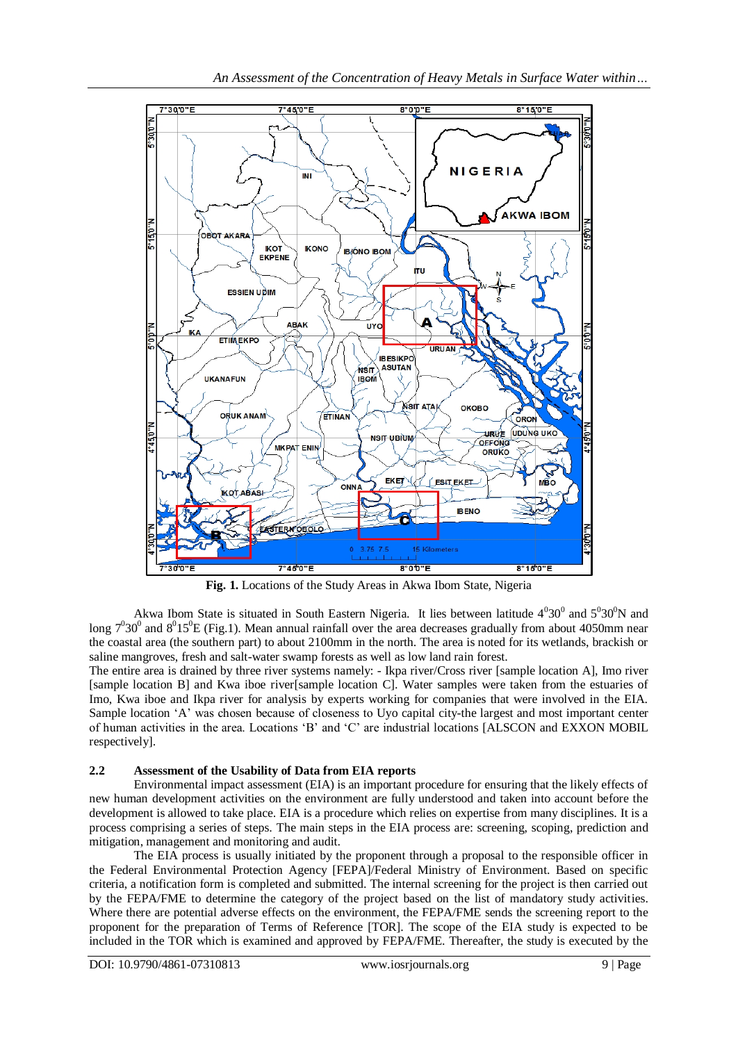

**Fig. 1.** Locations of the Study Areas in Akwa Ibom State, Nigeria

Akwa Ibom State is situated in South Eastern Nigeria. It lies between latitude  $4^030^0$  and  $5^030^0$ N and long  $7^030^0$  and  $8^015^0$ E (Fig.1). Mean annual rainfall over the area decreases gradually from about 4050mm near the coastal area (the southern part) to about 2100mm in the north. The area is noted for its wetlands, brackish or saline mangroves, fresh and salt-water swamp forests as well as low land rain forest.

The entire area is drained by three river systems namely: - Ikpa river/Cross river [sample location A], Imo river [sample location B] and Kwa iboe river[sample location C]. Water samples were taken from the estuaries of Imo, Kwa iboe and Ikpa river for analysis by experts working for companies that were involved in the EIA. Sample location 'A' was chosen because of closeness to Uyo capital city-the largest and most important center of human activities in the area. Locations 'B' and 'C' are industrial locations [ALSCON and EXXON MOBIL respectively].

## **2.2 Assessment of the Usability of Data from EIA reports**

Environmental impact assessment (EIA) is an important procedure for ensuring that the likely effects of new human development activities on the environment are fully understood and taken into account before the development is allowed to take place. EIA is a procedure which relies on expertise from many disciplines. It is a process comprising a series of steps. The main steps in the EIA process are: screening, scoping, prediction and mitigation, management and monitoring and audit.

The EIA process is usually initiated by the proponent through a proposal to the responsible officer in the Federal Environmental Protection Agency [FEPA]/Federal Ministry of Environment. Based on specific criteria, a notification form is completed and submitted. The internal screening for the project is then carried out by the FEPA/FME to determine the category of the project based on the list of mandatory study activities. Where there are potential adverse effects on the environment, the FEPA/FME sends the screening report to the proponent for the preparation of Terms of Reference [TOR]. The scope of the EIA study is expected to be included in the TOR which is examined and approved by FEPA/FME. Thereafter, the study is executed by the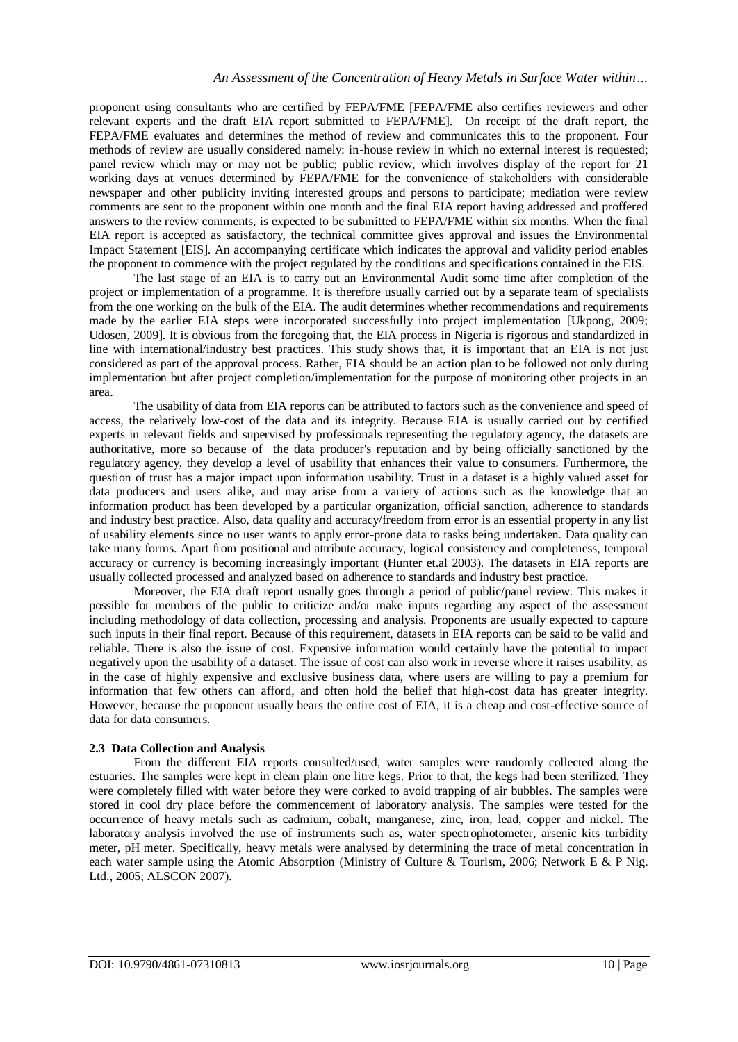proponent using consultants who are certified by FEPA/FME [FEPA/FME also certifies reviewers and other relevant experts and the draft EIA report submitted to FEPA/FME]. On receipt of the draft report, the FEPA/FME evaluates and determines the method of review and communicates this to the proponent. Four methods of review are usually considered namely: in-house review in which no external interest is requested; panel review which may or may not be public; public review, which involves display of the report for 21 working days at venues determined by FEPA/FME for the convenience of stakeholders with considerable newspaper and other publicity inviting interested groups and persons to participate; mediation were review comments are sent to the proponent within one month and the final EIA report having addressed and proffered answers to the review comments, is expected to be submitted to FEPA/FME within six months. When the final EIA report is accepted as satisfactory, the technical committee gives approval and issues the Environmental Impact Statement [EIS]. An accompanying certificate which indicates the approval and validity period enables the proponent to commence with the project regulated by the conditions and specifications contained in the EIS.

The last stage of an EIA is to carry out an Environmental Audit some time after completion of the project or implementation of a programme. It is therefore usually carried out by a separate team of specialists from the one working on the bulk of the EIA. The audit determines whether recommendations and requirements made by the earlier EIA steps were incorporated successfully into project implementation [Ukpong, 2009; Udosen, 2009]. It is obvious from the foregoing that, the EIA process in Nigeria is rigorous and standardized in line with international/industry best practices. This study shows that, it is important that an EIA is not just considered as part of the approval process. Rather, EIA should be an action plan to be followed not only during implementation but after project completion/implementation for the purpose of monitoring other projects in an area.

The usability of data from EIA reports can be attributed to factors such as the convenience and speed of access, the relatively low-cost of the data and its integrity. Because EIA is usually carried out by certified experts in relevant fields and supervised by professionals representing the regulatory agency, the datasets are authoritative, more so because of the data producer's reputation and by being officially sanctioned by the regulatory agency, they develop a level of usability that enhances their value to consumers. Furthermore, the question of trust has a major impact upon information usability. Trust in a dataset is a highly valued asset for data producers and users alike, and may arise from a variety of actions such as the knowledge that an information product has been developed by a particular organization, official sanction, adherence to standards and industry best practice. Also, data quality and accuracy/freedom from error is an essential property in any list of usability elements since no user wants to apply error-prone data to tasks being undertaken. Data quality can take many forms. Apart from positional and attribute accuracy, logical consistency and completeness, temporal accuracy or currency is becoming increasingly important (Hunter et.al 2003). The datasets in EIA reports are usually collected processed and analyzed based on adherence to standards and industry best practice.

Moreover, the EIA draft report usually goes through a period of public/panel review. This makes it possible for members of the public to criticize and/or make inputs regarding any aspect of the assessment including methodology of data collection, processing and analysis. Proponents are usually expected to capture such inputs in their final report. Because of this requirement, datasets in EIA reports can be said to be valid and reliable. There is also the issue of cost. Expensive information would certainly have the potential to impact negatively upon the usability of a dataset. The issue of cost can also work in reverse where it raises usability, as in the case of highly expensive and exclusive business data, where users are willing to pay a premium for information that few others can afford, and often hold the belief that high-cost data has greater integrity. However, because the proponent usually bears the entire cost of EIA, it is a cheap and cost-effective source of data for data consumers.

## **2.3 Data Collection and Analysis**

From the different EIA reports consulted/used, water samples were randomly collected along the estuaries. The samples were kept in clean plain one litre kegs. Prior to that, the kegs had been sterilized. They were completely filled with water before they were corked to avoid trapping of air bubbles. The samples were stored in cool dry place before the commencement of laboratory analysis. The samples were tested for the occurrence of heavy metals such as cadmium, cobalt, manganese, zinc, iron, lead, copper and nickel. The laboratory analysis involved the use of instruments such as, water spectrophotometer, arsenic kits turbidity meter, pH meter. Specifically, heavy metals were analysed by determining the trace of metal concentration in each water sample using the Atomic Absorption (Ministry of Culture & Tourism, 2006; Network E & P Nig. Ltd., 2005; ALSCON 2007).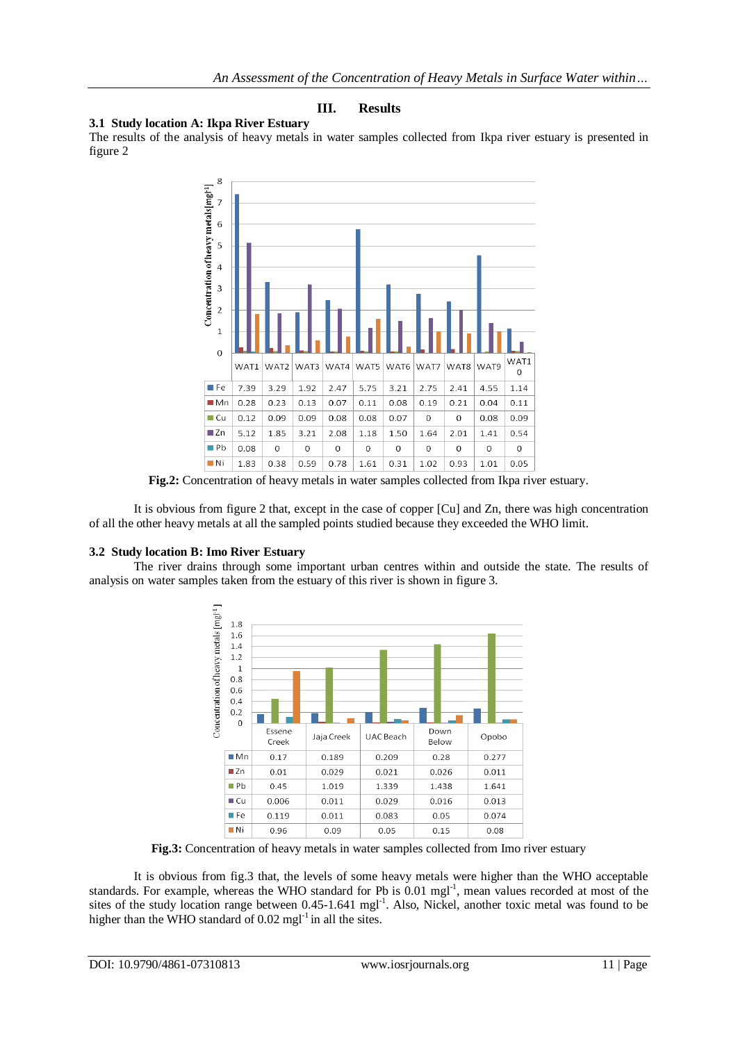## **III. Results**

#### **3.1 Study location A: Ikpa River Estuary**

The results of the analysis of heavy metals in water samples collected from Ikpa river estuary is presented in figure 2



**Fig.2:** Concentration of heavy metals in water samples collected from Ikpa river estuary.

It is obvious from figure 2 that, except in the case of copper [Cu] and Zn, there was high concentration of all the other heavy metals at all the sampled points studied because they exceeded the WHO limit.

## **3.2 Study location B: Imo River Estuary**

The river drains through some important urban centres within and outside the state. The results of analysis on water samples taken from the estuary of this river is shown in figure 3.



**Fig.3:** Concentration of heavy metals in water samples collected from Imo river estuary

It is obvious from fig.3 that, the levels of some heavy metals were higher than the WHO acceptable standards. For example, whereas the WHO standard for Pb is 0.01 mgl<sup>-1</sup>, mean values recorded at most of the sites of the study location range between 0.45-1.641 mgl<sup>-1</sup>. Also, Nickel, another toxic metal was found to be higher than the WHO standard of  $0.02$  mgl<sup>-1</sup> in all the sites.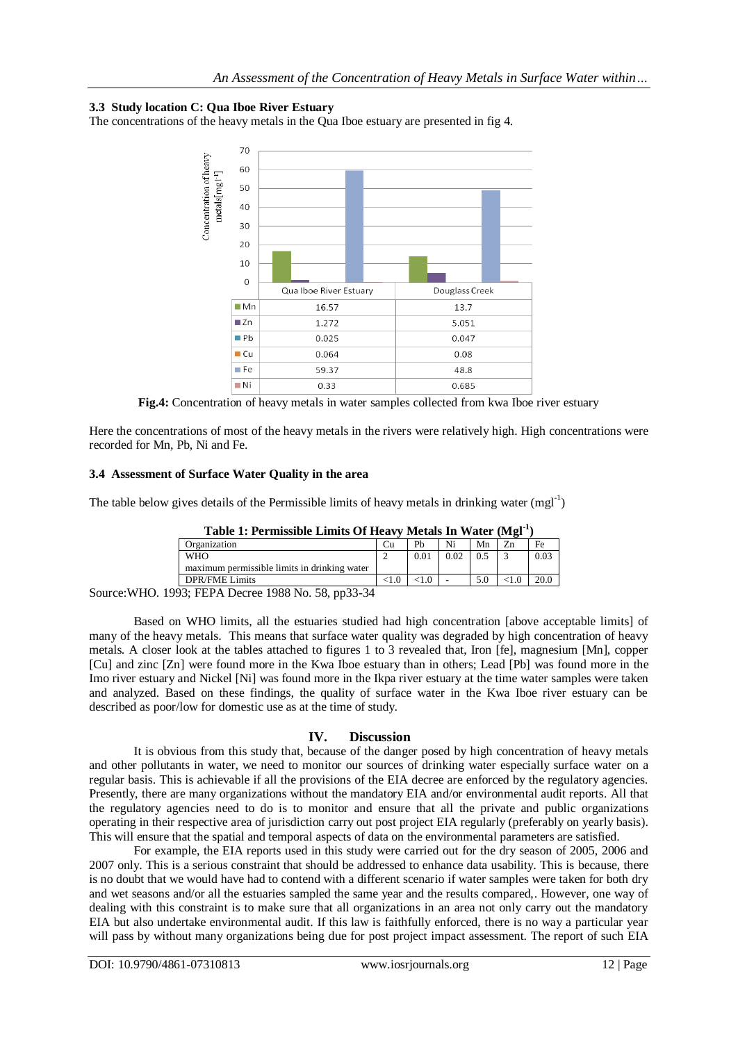## **3.3 Study location C: Qua Iboe River Estuary**

The concentrations of the heavy metals in the Qua Iboe estuary are presented in fig 4.



**Fig.4:** Concentration of heavy metals in water samples collected from kwa Iboe river estuary

Here the concentrations of most of the heavy metals in the rivers were relatively high. High concentrations were recorded for Mn, Pb, Ni and Fe.

#### **3.4 Assessment of Surface Water Quality in the area**

The table below gives details of the Permissible limits of heavy metals in drinking water  $(mgl^{-1})$ 

| Table 1: Fernissipie Linius Of Heavy Metals III Water (MP2)                                               |    |               |      |    |  |      |  |
|-----------------------------------------------------------------------------------------------------------|----|---------------|------|----|--|------|--|
| Organization                                                                                              | آٺ | Ph            |      | Mn |  | Fe   |  |
| <b>WHO</b>                                                                                                |    | $0.0^{\circ}$ | 0.02 |    |  | 0.03 |  |
| maximum permissible limits in drinking water                                                              |    |               |      |    |  |      |  |
| <b>DPR/FME Limits</b>                                                                                     |    |               |      |    |  |      |  |
| $\lambda$ $\cap$ $\cap$ $\lambda$ $\tau$<br>$\sim$ $\sim$ $\sim$<br>$\sim$<br>$\sim$ $\sim$ $\sim$ $\sim$ |    |               |      |    |  |      |  |

**Table 1: Permissible Limits Of Heavy Metals In Water (Mgl-1 )**

Source:WHO. 1993; FEPA Decree 1988 No. 58, pp33-34

Based on WHO limits, all the estuaries studied had high concentration [above acceptable limits] of many of the heavy metals. This means that surface water quality was degraded by high concentration of heavy metals. A closer look at the tables attached to figures 1 to 3 revealed that, Iron [fe], magnesium [Mn], copper [Cu] and zinc [Zn] were found more in the Kwa Iboe estuary than in others; Lead [Pb] was found more in the Imo river estuary and Nickel [Ni] was found more in the Ikpa river estuary at the time water samples were taken and analyzed. Based on these findings, the quality of surface water in the Kwa Iboe river estuary can be described as poor/low for domestic use as at the time of study.

## **IV. Discussion**

It is obvious from this study that, because of the danger posed by high concentration of heavy metals and other pollutants in water, we need to monitor our sources of drinking water especially surface water on a regular basis. This is achievable if all the provisions of the EIA decree are enforced by the regulatory agencies. Presently, there are many organizations without the mandatory EIA and/or environmental audit reports. All that the regulatory agencies need to do is to monitor and ensure that all the private and public organizations operating in their respective area of jurisdiction carry out post project EIA regularly (preferably on yearly basis). This will ensure that the spatial and temporal aspects of data on the environmental parameters are satisfied.

For example, the EIA reports used in this study were carried out for the dry season of 2005, 2006 and 2007 only. This is a serious constraint that should be addressed to enhance data usability. This is because, there is no doubt that we would have had to contend with a different scenario if water samples were taken for both dry and wet seasons and/or all the estuaries sampled the same year and the results compared,. However, one way of dealing with this constraint is to make sure that all organizations in an area not only carry out the mandatory EIA but also undertake environmental audit. If this law is faithfully enforced, there is no way a particular year will pass by without many organizations being due for post project impact assessment. The report of such EIA